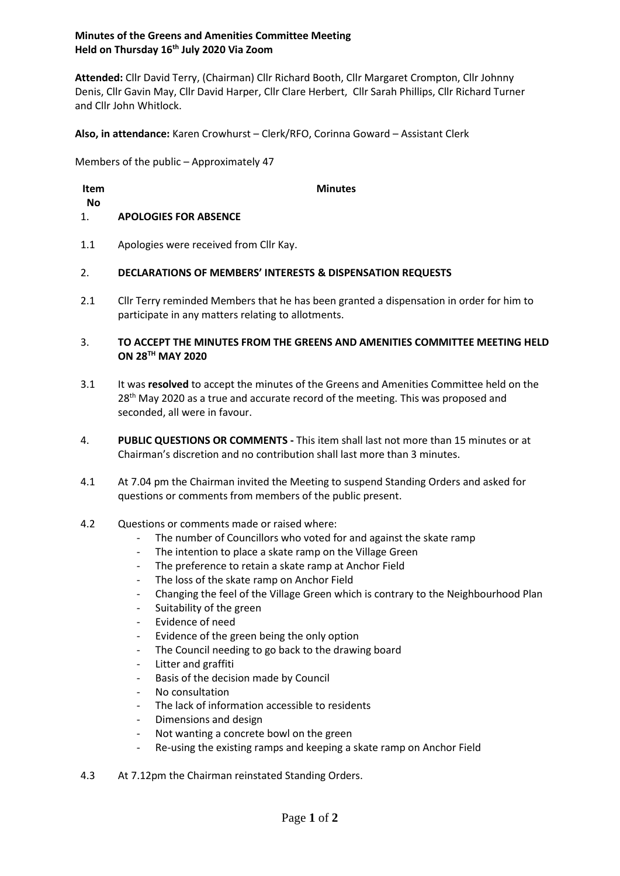# **Minutes of the Greens and Amenities Committee Meeting Held on Thursday 16th July 2020 Via Zoom**

**Attended:** Cllr David Terry, (Chairman) Cllr Richard Booth, Cllr Margaret Crompton, Cllr Johnny Denis, Cllr Gavin May, Cllr David Harper, Cllr Clare Herbert, Cllr Sarah Phillips, Cllr Richard Turner and Cllr John Whitlock.

**Also, in attendance:** Karen Crowhurst – Clerk/RFO, Corinna Goward – Assistant Clerk

Members of the public – Approximately 47

| Item     |                                        | <b>Minutes</b> |
|----------|----------------------------------------|----------------|
| No<br>1. | <b>APOLOGIES FOR ABSENCE</b>           |                |
|          |                                        |                |
| 1.1      | Apologies were received from Cllr Kay. |                |

#### 2. **DECLARATIONS OF MEMBERS' INTERESTS & DISPENSATION REQUESTS**

2.1 Cllr Terry reminded Members that he has been granted a dispensation in order for him to participate in any matters relating to allotments.

### 3. **TO ACCEPT THE MINUTES FROM THE GREENS AND AMENITIES COMMITTEE MEETING HELD ON 28TH MAY 2020**

- 3.1 It was **resolved** to accept the minutes of the Greens and Amenities Committee held on the 28<sup>th</sup> May 2020 as a true and accurate record of the meeting. This was proposed and seconded, all were in favour.
- 4. **PUBLIC QUESTIONS OR COMMENTS -** This item shall last not more than 15 minutes or at Chairman's discretion and no contribution shall last more than 3 minutes.
- 4.1 At 7.04 pm the Chairman invited the Meeting to suspend Standing Orders and asked for questions or comments from members of the public present.

#### 4.2 Questions or comments made or raised where:

- The number of Councillors who voted for and against the skate ramp
- The intention to place a skate ramp on the Village Green
- The preference to retain a skate ramp at Anchor Field
- The loss of the skate ramp on Anchor Field
- Changing the feel of the Village Green which is contrary to the Neighbourhood Plan
- Suitability of the green
- Evidence of need
- Evidence of the green being the only option
- The Council needing to go back to the drawing board
- Litter and graffiti
- Basis of the decision made by Council
- No consultation
- The lack of information accessible to residents
- Dimensions and design
- Not wanting a concrete bowl on the green
- Re-using the existing ramps and keeping a skate ramp on Anchor Field
- 4.3 At 7.12pm the Chairman reinstated Standing Orders.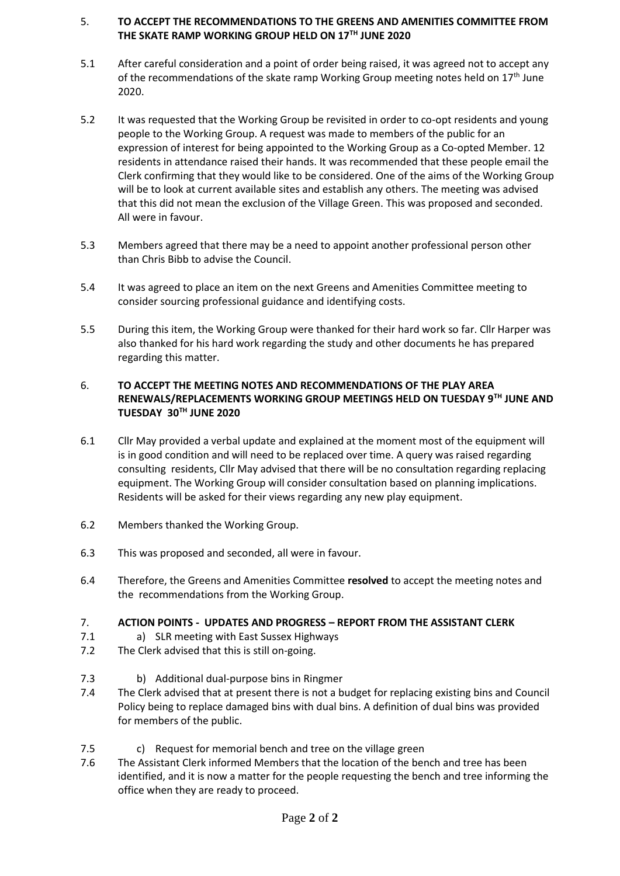# 5. **TO ACCEPT THE RECOMMENDATIONS TO THE GREENS AND AMENITIES COMMITTEE FROM THE SKATE RAMP WORKING GROUP HELD ON 17TH JUNE 2020**

- 5.1 After careful consideration and a point of order being raised, it was agreed not to accept any of the recommendations of the skate ramp Working Group meeting notes held on  $17<sup>th</sup>$  June 2020.
- 5.2 It was requested that the Working Group be revisited in order to co-opt residents and young people to the Working Group. A request was made to members of the public for an expression of interest for being appointed to the Working Group as a Co-opted Member. 12 residents in attendance raised their hands. It was recommended that these people email the Clerk confirming that they would like to be considered. One of the aims of the Working Group will be to look at current available sites and establish any others. The meeting was advised that this did not mean the exclusion of the Village Green. This was proposed and seconded. All were in favour.
- 5.3 Members agreed that there may be a need to appoint another professional person other than Chris Bibb to advise the Council.
- 5.4 It was agreed to place an item on the next Greens and Amenities Committee meeting to consider sourcing professional guidance and identifying costs.
- 5.5 During this item, the Working Group were thanked for their hard work so far. Cllr Harper was also thanked for his hard work regarding the study and other documents he has prepared regarding this matter.

# 6. **TO ACCEPT THE MEETING NOTES AND RECOMMENDATIONS OF THE PLAY AREA RENEWALS/REPLACEMENTS WORKING GROUP MEETINGS HELD ON TUESDAY 9TH JUNE AND TUESDAY 30TH JUNE 2020**

- 6.1 Cllr May provided a verbal update and explained at the moment most of the equipment will is in good condition and will need to be replaced over time. A query was raised regarding consulting residents, Cllr May advised that there will be no consultation regarding replacing equipment. The Working Group will consider consultation based on planning implications. Residents will be asked for their views regarding any new play equipment.
- 6.2 Members thanked the Working Group.
- 6.3 This was proposed and seconded, all were in favour.
- 6.4 Therefore, the Greens and Amenities Committee **resolved** to accept the meeting notes and the recommendations from the Working Group.
- 7. **ACTION POINTS - UPDATES AND PROGRESS – REPORT FROM THE ASSISTANT CLERK**
- 7.1 a) SLR meeting with East Sussex Highways
- 7.2 The Clerk advised that this is still on-going.
- 7.3 b) Additional dual-purpose bins in Ringmer
- 7.4 The Clerk advised that at present there is not a budget for replacing existing bins and Council Policy being to replace damaged bins with dual bins. A definition of dual bins was provided for members of the public.
- 7.5 c) Request for memorial bench and tree on the village green
- 7.6 The Assistant Clerk informed Members that the location of the bench and tree has been identified, and it is now a matter for the people requesting the bench and tree informing the office when they are ready to proceed.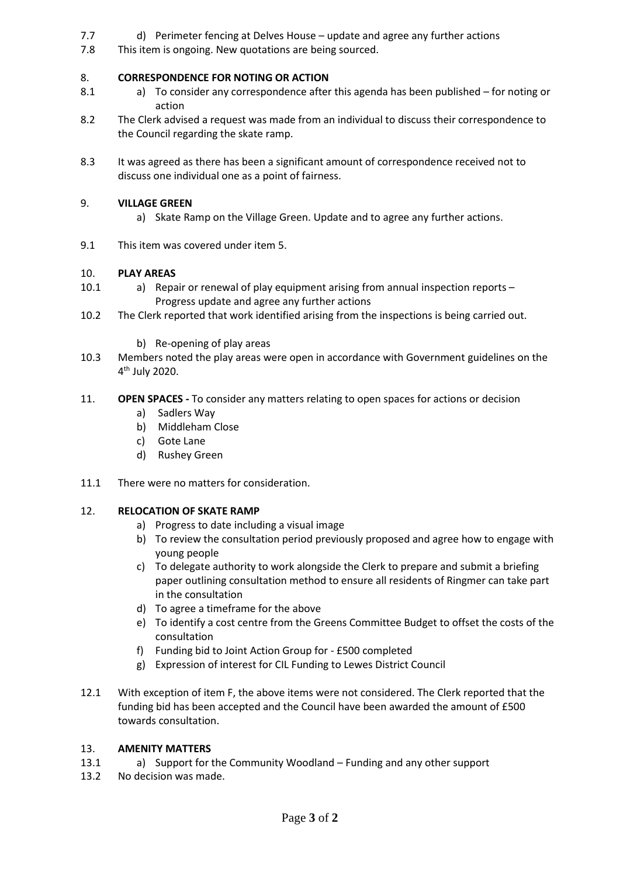- 7.7 d) Perimeter fencing at Delves House – update and agree any further actions
- 7.8 This item is ongoing. New quotations are being sourced.

#### 8. **CORRESPONDENCE FOR NOTING OR ACTION**

- 8.1 a) To consider any correspondence after this agenda has been published – for noting or action
- 8.2 The Clerk advised a request was made from an individual to discuss their correspondence to the Council regarding the skate ramp.
- 8.3 It was agreed as there has been a significant amount of correspondence received not to discuss one individual one as a point of fairness.

#### 9. **VILLAGE GREEN**

- a) Skate Ramp on the Village Green. Update and to agree any further actions.
- 9.1 This item was covered under item 5.

#### 10. **PLAY AREAS**

- 10.1 a) Repair or renewal of play equipment arising from annual inspection reports – Progress update and agree any further actions
- 10.2 The Clerk reported that work identified arising from the inspections is being carried out.
	- b) Re-opening of play areas
- 10.3 Members noted the play areas were open in accordance with Government guidelines on the 4 th July 2020.

#### 11. **OPEN SPACES -** To consider any matters relating to open spaces for actions or decision

- a) Sadlers Way
- b) Middleham Close
- c) Gote Lane
- d) Rushey Green
- 11.1 There were no matters for consideration.

#### 12. **RELOCATION OF SKATE RAMP**

- a) Progress to date including a visual image
- b) To review the consultation period previously proposed and agree how to engage with young people
- c) To delegate authority to work alongside the Clerk to prepare and submit a briefing paper outlining consultation method to ensure all residents of Ringmer can take part in the consultation
- d) To agree a timeframe for the above
- e) To identify a cost centre from the Greens Committee Budget to offset the costs of the consultation
- f) Funding bid to Joint Action Group for £500 completed
- g) Expression of interest for CIL Funding to Lewes District Council
- 12.1 With exception of item F, the above items were not considered. The Clerk reported that the funding bid has been accepted and the Council have been awarded the amount of £500 towards consultation.

#### 13. **AMENITY MATTERS**

- 13.1 a) Support for the Community Woodland – Funding and any other support
- 13.2 No decision was made.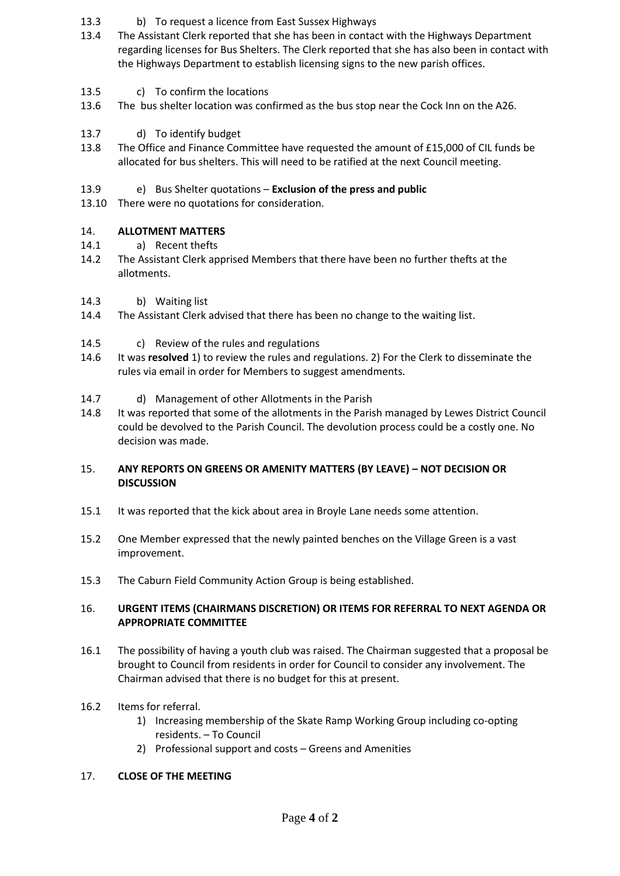- 13.3 b) To request a licence from East Sussex Highways
- 13.4 The Assistant Clerk reported that she has been in contact with the Highways Department regarding licenses for Bus Shelters. The Clerk reported that she has also been in contact with the Highways Department to establish licensing signs to the new parish offices.
- 13.5 c) To confirm the locations
- 13.6 The bus shelter location was confirmed as the bus stop near the Cock Inn on the A26.
- 13.7 d) To identify budget
- 13.8 The Office and Finance Committee have requested the amount of £15,000 of CIL funds be allocated for bus shelters. This will need to be ratified at the next Council meeting.
- 13.9 e) Bus Shelter quotations – **Exclusion of the press and public**
- 13.10 There were no quotations for consideration.

#### 14. **ALLOTMENT MATTERS**

- 14.1 a) Recent thefts
- 14.2 The Assistant Clerk apprised Members that there have been no further thefts at the allotments.
- 14.3 b) Waiting list
- 14.4 The Assistant Clerk advised that there has been no change to the waiting list.
- 14.5 c) Review of the rules and regulations
- 14.6 It was **resolved** 1) to review the rules and regulations. 2) For the Clerk to disseminate the rules via email in order for Members to suggest amendments.
- 14.7 d) Management of other Allotments in the Parish
- 14.8 It was reported that some of the allotments in the Parish managed by Lewes District Council could be devolved to the Parish Council. The devolution process could be a costly one. No decision was made.

# 15. **ANY REPORTS ON GREENS OR AMENITY MATTERS (BY LEAVE) – NOT DECISION OR DISCUSSION**

- 15.1 It was reported that the kick about area in Broyle Lane needs some attention.
- 15.2 One Member expressed that the newly painted benches on the Village Green is a vast improvement.
- 15.3 The Caburn Field Community Action Group is being established.

# 16. **URGENT ITEMS (CHAIRMANS DISCRETION) OR ITEMS FOR REFERRAL TO NEXT AGENDA OR APPROPRIATE COMMITTEE**

- 16.1 The possibility of having a youth club was raised. The Chairman suggested that a proposal be brought to Council from residents in order for Council to consider any involvement. The Chairman advised that there is no budget for this at present.
- 16.2 Items for referral.
	- 1) Increasing membership of the Skate Ramp Working Group including co-opting residents. – To Council
	- 2) Professional support and costs Greens and Amenities

# 17. **CLOSE OF THE MEETING**